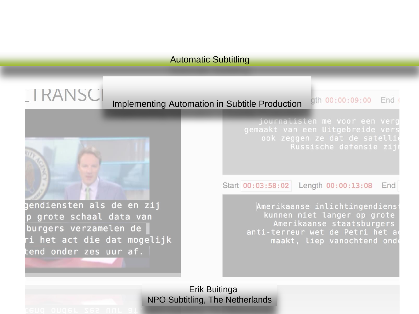# **LIRANSCI**

Implementing Automation in Subtitle Production

gth 00:00:09:00 End (

journalisten me voor een verg gemaakt van een Uitgebreide vers ook zeggen ze dat de satelli Russische defensie zij

Start 00:03:58:02 Length 00:00:13:08 End

> Amerikaanse inlichtingendiens kunnen niet langer op grote Amerikaanse staatsburgers anti-terreur wet de Petri het a maakt, liep vanochtend onde

Erik Buitinga NPO Subtitling, The Netherlands

gendiensten als de en zij

grote schaal data van

i het act die dat mogelijk

burgers verzamelen de

end onder zes uur af.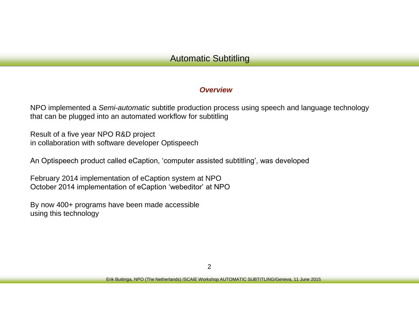#### *Overview*

NPO implemented a *Semi-automatic* subtitle production process using speech and language technology that can be plugged into an automated workflow for subtitling

Result of a five year NPO R&D project in collaboration with software developer Optispeech

An Optispeech product called eCaption, 'computer assisted subtitling', was developed

February 2014 implementation of eCaption system at NPO October 2014 implementation of eCaption 'webeditor' at NPO

By now 400+ programs have been made accessible using this technology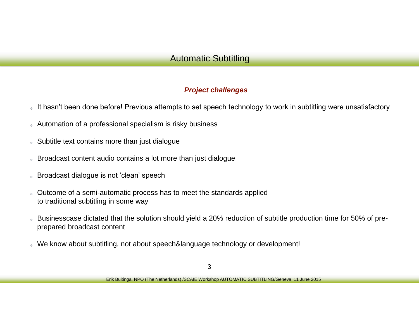#### *Project challenges*

- It hasn't been done before! Previous attempts to set speech technology to work in subtitling were unsatisfactory
- Automation of a professional specialism is risky business
- Subtitle text contains more than just dialogue
- Broadcast content audio contains a lot more than just dialogue
- Broadcast dialogue is not 'clean' speech
- Outcome of a semi-automatic process has to meet the standards applied to traditional subtitling in some way
- Businesscase dictated that the solution should yield a 20% reduction of subtitle production time for 50% of preprepared broadcast content
- We know about subtitling, not about speech&language technology or development!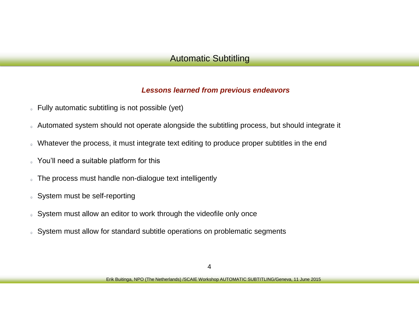#### *Lessons learned from previous endeavors*

- Fully automatic subtitling is not possible (yet)
- Automated system should not operate alongside the subtitling process, but should integrate it
- Whatever the process, it must integrate text editing to produce proper subtitles in the end
- You'll need a suitable platform for this  $\bullet$
- The process must handle non-dialogue text intelligently  $\odot$
- System must be self-reporting
- System must allow an editor to work through the videofile only once
- System must allow for standard subtitle operations on problematic segments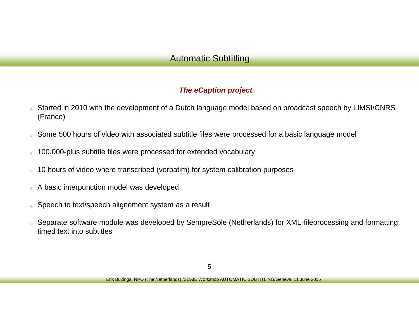#### *The eCaption project*

- Started in 2010 with the development of a Dutch language model based on broadcast speech by LIMSI/CNRS (France)
- Some 500 hours of video with associated subtitle files were processed for a basic language model
- 100.000-plus subtitle files were processed for extended vocabulary
- 10 hours of video where transcribed (verbatim) for system calibration purposes  $\Theta$
- A basic interpunction model was developed
- Speech to text/speech alignement system as a result
- Separate software module was developed by SempreSole (Netherlands) for XML-fileprocessing and formatting timed text into subtitles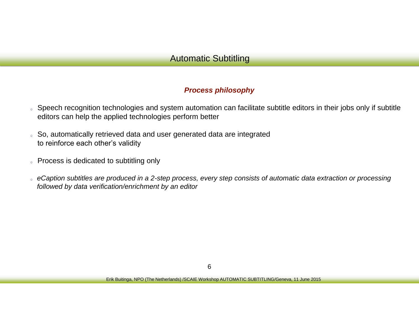#### *Process philosophy*

- Speech recognition technologies and system automation can facilitate subtitle editors in their jobs only if subtitle editors can help the applied technologies perform better
- So, automatically retrieved data and user generated data are integrated  $\bullet$ to reinforce each other's validity
- Process is dedicated to subtitling only
- *eCaption subtitles are produced in a 2-step process, every step consists of automatic data extraction or processing followed by data verification/enrichment by an editor*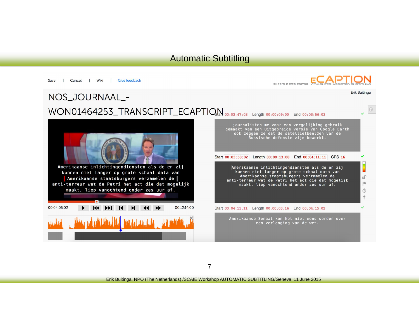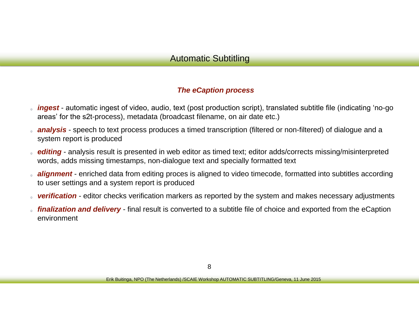#### *The eCaption process*

- *ingest* automatic ingest of video, audio, text (post production script), translated subtitle file (indicating 'no-go areas' for the s2t-process), metadata (broadcast filename, on air date etc.)
- *analysis* speech to text process produces a timed transcription (filtered or non-filtered) of dialogue and a system report is produced
- *editing* analysis result is presented in web editor as timed text; editor adds/corrects missing/misinterpreted words, adds missing timestamps, non-dialogue text and specially formatted text
- *alignment* enriched data from editing proces is aligned to video timecode, formatted into subtitles according to user settings and a system report is produced
- *verification* editor checks verification markers as reported by the system and makes necessary adjustments
- *finalization and delivery*  final result is converted to a subtitle file of choice and exported from the eCaption environment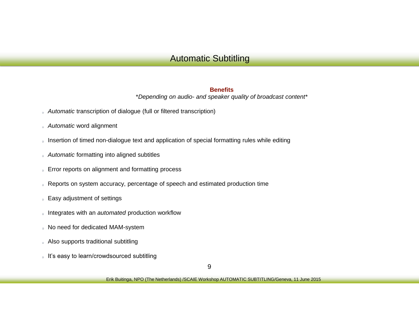#### **Benefits**

\**Depending on audio- and speaker quality of broadcast content\**

- *Automatic* transcription of dialogue (full or filtered transcription)
- *Automatic* word alignment  $\circledcirc$
- Insertion of timed non-dialogue text and application of special formatting rules while editing
- *Automatic* formatting into aligned subtitles
- Error reports on alignment and formatting process  $\circ$
- Reports on system accuracy, percentage of speech and estimated production time
- Easy adjustment of settings
- Integrates with an *automated* production workflow  $\circ$
- No need for dedicated MAM-system
- Also supports traditional subtitling
- It's easy to learn/crowdsourced subtitling